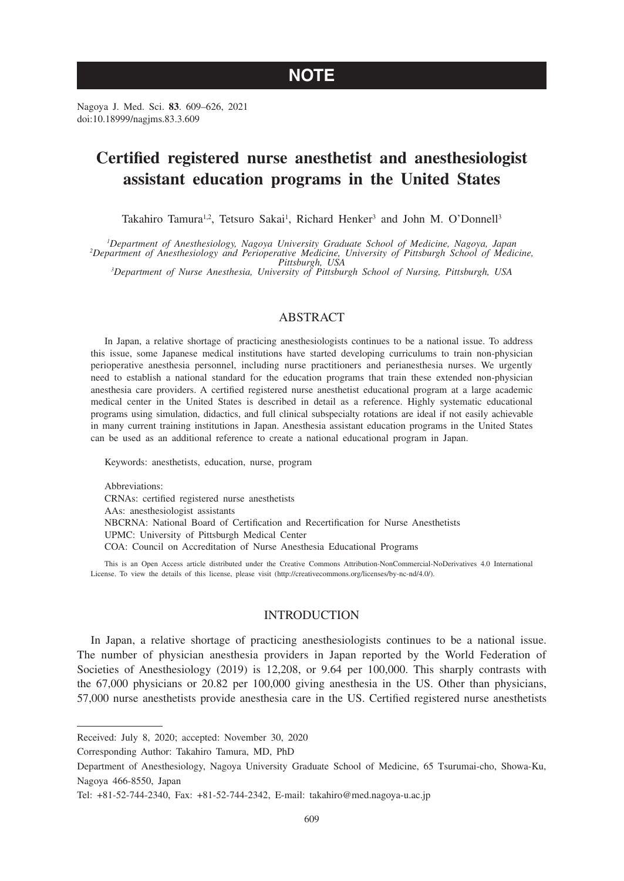# **NOTE**

Nagoya J. Med. Sci. **83**. 609–626, 2021 doi:10.18999/nagjms.83.3.609

# **Certified registered nurse anesthetist and anesthesiologist assistant education programs in the United States**

Takahiro Tamura<sup>1,2</sup>, Tetsuro Sakai<sup>1</sup>, Richard Henker<sup>3</sup> and John M. O'Donnell<sup>3</sup>

<sup>1</sup>Department of Anesthesiology, Nagoya University Graduate School of Medicine, Nagoya, Japan Department of Anesthesiology, Nagoya University Graduate School of Medicine, Nagoya, Japan<br>2Department of Anesthesiology and Perioperative Medicine, University of Pittsburgh School of Medicine,<br><sup>2</sup>Department of Nurse Anest

*Department of Nurse Anesthesia, University of Pittsburgh School of Nursing, Pittsburgh, USA*

### ABSTRACT

In Japan, a relative shortage of practicing anesthesiologists continues to be a national issue. To address this issue, some Japanese medical institutions have started developing curriculums to train non-physician perioperative anesthesia personnel, including nurse practitioners and perianesthesia nurses. We urgently need to establish a national standard for the education programs that train these extended non-physician anesthesia care providers. A certified registered nurse anesthetist educational program at a large academic medical center in the United States is described in detail as a reference. Highly systematic educational programs using simulation, didactics, and full clinical subspecialty rotations are ideal if not easily achievable in many current training institutions in Japan. Anesthesia assistant education programs in the United States can be used as an additional reference to create a national educational program in Japan.

Keywords: anesthetists, education, nurse, program

Abbreviations: CRNAs: certified registered nurse anesthetists AAs: anesthesiologist assistants NBCRNA: National Board of Certification and Recertification for Nurse Anesthetists UPMC: University of Pittsburgh Medical Center COA: Council on Accreditation of Nurse Anesthesia Educational Programs

This is an Open Access article distributed under the Creative Commons Attribution-NonCommercial-NoDerivatives 4.0 International License. To view the details of this license, please visit (http://creativecommons.org/licenses/by-nc-nd/4.0/).

#### **INTRODUCTION**

In Japan, a relative shortage of practicing anesthesiologists continues to be a national issue. The number of physician anesthesia providers in Japan reported by the World Federation of Societies of Anesthesiology (2019) is 12,208, or 9.64 per 100,000. This sharply contrasts with the 67,000 physicians or 20.82 per 100,000 giving anesthesia in the US. Other than physicians, 57,000 nurse anesthetists provide anesthesia care in the US. Certified registered nurse anesthetists

Corresponding Author: Takahiro Tamura, MD, PhD

Received: July 8, 2020; accepted: November 30, 2020

Department of Anesthesiology, Nagoya University Graduate School of Medicine, 65 Tsurumai-cho, Showa-Ku, Nagoya 466-8550, Japan

Tel: +81-52-744-2340, Fax: +81-52-744-2342, E-mail: takahiro@med.nagoya-u.ac.jp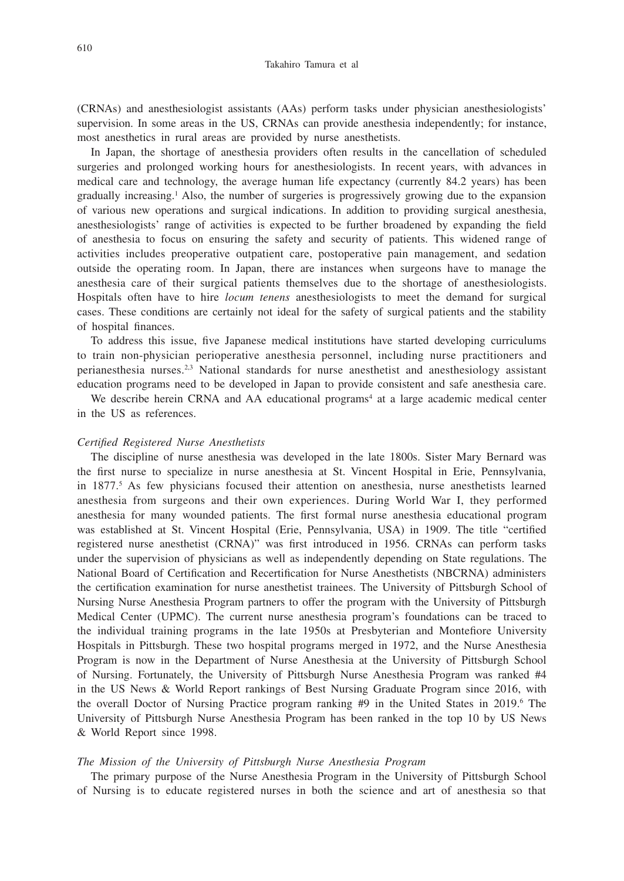(CRNAs) and anesthesiologist assistants (AAs) perform tasks under physician anesthesiologists' supervision. In some areas in the US, CRNAs can provide anesthesia independently; for instance, most anesthetics in rural areas are provided by nurse anesthetists.

In Japan, the shortage of anesthesia providers often results in the cancellation of scheduled surgeries and prolonged working hours for anesthesiologists. In recent years, with advances in medical care and technology, the average human life expectancy (currently 84.2 years) has been gradually increasing.1 Also, the number of surgeries is progressively growing due to the expansion of various new operations and surgical indications. In addition to providing surgical anesthesia, anesthesiologists' range of activities is expected to be further broadened by expanding the field of anesthesia to focus on ensuring the safety and security of patients. This widened range of activities includes preoperative outpatient care, postoperative pain management, and sedation outside the operating room. In Japan, there are instances when surgeons have to manage the anesthesia care of their surgical patients themselves due to the shortage of anesthesiologists. Hospitals often have to hire *locum tenens* anesthesiologists to meet the demand for surgical cases. These conditions are certainly not ideal for the safety of surgical patients and the stability of hospital finances.

To address this issue, five Japanese medical institutions have started developing curriculums to train non-physician perioperative anesthesia personnel, including nurse practitioners and perianesthesia nurses.2,3 National standards for nurse anesthetist and anesthesiology assistant education programs need to be developed in Japan to provide consistent and safe anesthesia care.

We describe herein CRNA and AA educational programs<sup>4</sup> at a large academic medical center in the US as references.

### *Certified Registered Nurse Anesthetists*

The discipline of nurse anesthesia was developed in the late 1800s. Sister Mary Bernard was the first nurse to specialize in nurse anesthesia at St. Vincent Hospital in Erie, Pennsylvania, in 1877.<sup>5</sup> As few physicians focused their attention on anesthesia, nurse anesthetists learned anesthesia from surgeons and their own experiences. During World War I, they performed anesthesia for many wounded patients. The first formal nurse anesthesia educational program was established at St. Vincent Hospital (Erie, Pennsylvania, USA) in 1909. The title "certified registered nurse anesthetist (CRNA)" was first introduced in 1956. CRNAs can perform tasks under the supervision of physicians as well as independently depending on State regulations. The National Board of Certification and Recertification for Nurse Anesthetists (NBCRNA) administers the certification examination for nurse anesthetist trainees. The University of Pittsburgh School of Nursing Nurse Anesthesia Program partners to offer the program with the University of Pittsburgh Medical Center (UPMC). The current nurse anesthesia program's foundations can be traced to the individual training programs in the late 1950s at Presbyterian and Montefiore University Hospitals in Pittsburgh. These two hospital programs merged in 1972, and the Nurse Anesthesia Program is now in the Department of Nurse Anesthesia at the University of Pittsburgh School of Nursing. Fortunately, the University of Pittsburgh Nurse Anesthesia Program was ranked #4 in the US News & World Report rankings of Best Nursing Graduate Program since 2016, with the overall Doctor of Nursing Practice program ranking #9 in the United States in 2019.<sup>6</sup> The University of Pittsburgh Nurse Anesthesia Program has been ranked in the top 10 by US News & World Report since 1998.

#### *The Mission of the University of Pittsburgh Nurse Anesthesia Program*

The primary purpose of the Nurse Anesthesia Program in the University of Pittsburgh School of Nursing is to educate registered nurses in both the science and art of anesthesia so that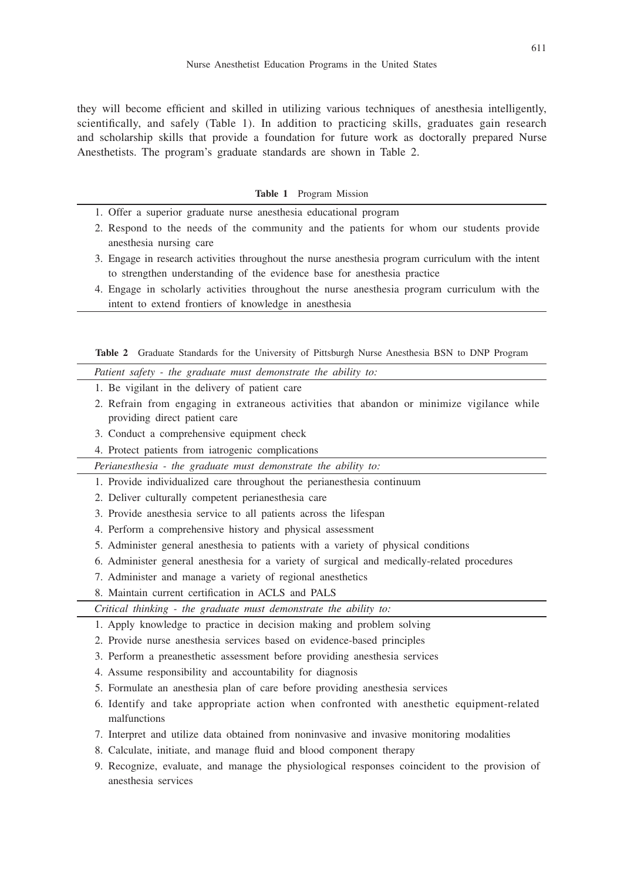they will become efficient and skilled in utilizing various techniques of anesthesia intelligently, scientifically, and safely (Table 1). In addition to practicing skills, graduates gain research and scholarship skills that provide a foundation for future work as doctorally prepared Nurse Anesthetists. The program's graduate standards are shown in Table 2.

#### **Table 1** Program Mission

- 1. Offer a superior graduate nurse anesthesia educational program
- 2. Respond to the needs of the community and the patients for whom our students provide anesthesia nursing care
- 3. Engage in research activities throughout the nurse anesthesia program curriculum with the intent to strengthen understanding of the evidence base for anesthesia practice
- 4. Engage in scholarly activities throughout the nurse anesthesia program curriculum with the intent to extend frontiers of knowledge in anesthesia

**Table 2** Graduate Standards for the University of Pittsburgh Nurse Anesthesia BSN to DNP Program

*Patient safety - the graduate must demonstrate the ability to:*

- 1. Be vigilant in the delivery of patient care
- 2. Refrain from engaging in extraneous activities that abandon or minimize vigilance while providing direct patient care
- 3. Conduct a comprehensive equipment check
- 4. Protect patients from iatrogenic complications

*Perianesthesia - the graduate must demonstrate the ability to:*

- 1. Provide individualized care throughout the perianesthesia continuum
- 2. Deliver culturally competent perianesthesia care
- 3. Provide anesthesia service to all patients across the lifespan
- 4. Perform a comprehensive history and physical assessment
- 5. Administer general anesthesia to patients with a variety of physical conditions
- 6. Administer general anesthesia for a variety of surgical and medically-related procedures
- 7. Administer and manage a variety of regional anesthetics
- 8. Maintain current certification in ACLS and PALS

*Critical thinking - the graduate must demonstrate the ability to:*

- 1. Apply knowledge to practice in decision making and problem solving
- 2. Provide nurse anesthesia services based on evidence-based principles
- 3. Perform a preanesthetic assessment before providing anesthesia services
- 4. Assume responsibility and accountability for diagnosis
- 5. Formulate an anesthesia plan of care before providing anesthesia services
- 6. Identify and take appropriate action when confronted with anesthetic equipment-related malfunctions
- 7. Interpret and utilize data obtained from noninvasive and invasive monitoring modalities
- 8. Calculate, initiate, and manage fluid and blood component therapy
- 9. Recognize, evaluate, and manage the physiological responses coincident to the provision of anesthesia services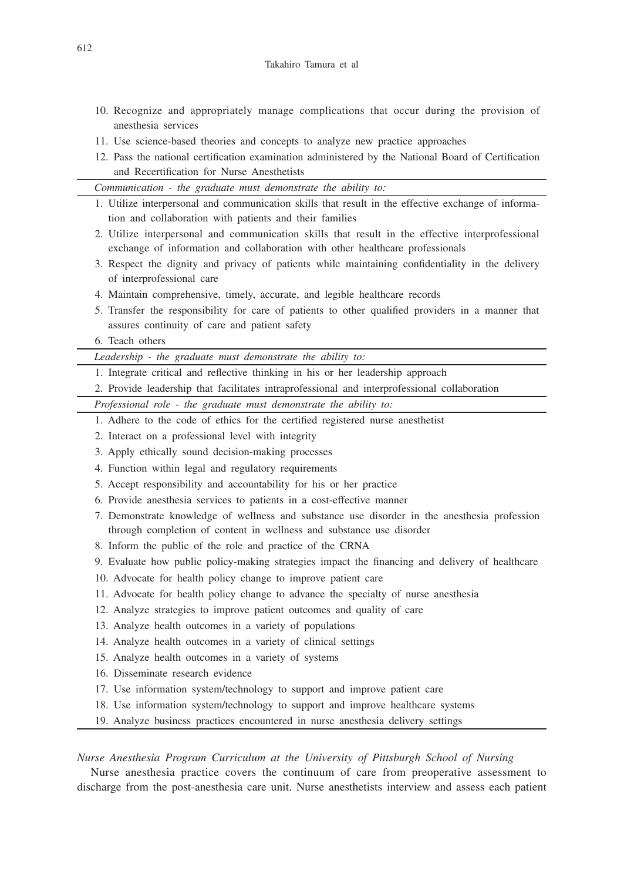- 10. Recognize and appropriately manage complications that occur during the provision of anesthesia services
- 11. Use science-based theories and concepts to analyze new practice approaches
- 12. Pass the national certification examination administered by the National Board of Certification and Recertification for Nurse Anesthetists
- *Communication the graduate must demonstrate the ability to:* 1. Utilize interpersonal and communication skills that result in the effective exchange of information and collaboration with patients and their families 2. Utilize interpersonal and communication skills that result in the effective interprofessional exchange of information and collaboration with other healthcare professionals 3. Respect the dignity and privacy of patients while maintaining confidentiality in the delivery of interprofessional care 4. Maintain comprehensive, timely, accurate, and legible healthcare records 5. Transfer the responsibility for care of patients to other qualified providers in a manner that assures continuity of care and patient safety 6. Teach others *Leadership - the graduate must demonstrate the ability to:* 1. Integrate critical and reflective thinking in his or her leadership approach 2. Provide leadership that facilitates intraprofessional and interprofessional collaboration *Professional role - the graduate must demonstrate the ability to:* 1. Adhere to the code of ethics for the certified registered nurse anesthetist 2. Interact on a professional level with integrity 3. Apply ethically sound decision-making processes 4. Function within legal and regulatory requirements 5. Accept responsibility and accountability for his or her practice 6. Provide anesthesia services to patients in a cost-effective manner 7. Demonstrate knowledge of wellness and substance use disorder in the anesthesia profession through completion of content in wellness and substance use disorder 8. Inform the public of the role and practice of the CRNA 9. Evaluate how public policy-making strategies impact the financing and delivery of healthcare 10. Advocate for health policy change to improve patient care 11. Advocate for health policy change to advance the specialty of nurse anesthesia 12. Analyze strategies to improve patient outcomes and quality of care 13. Analyze health outcomes in a variety of populations 14. Analyze health outcomes in a variety of clinical settings 15. Analyze health outcomes in a variety of systems 16. Disseminate research evidence 17. Use information system/technology to support and improve patient care 18. Use information system/technology to support and improve healthcare systems 19. Analyze business practices encountered in nurse anesthesia delivery settings

*Nurse Anesthesia Program Curriculum at the University of Pittsburgh School of Nursing*

Nurse anesthesia practice covers the continuum of care from preoperative assessment to discharge from the post-anesthesia care unit. Nurse anesthetists interview and assess each patient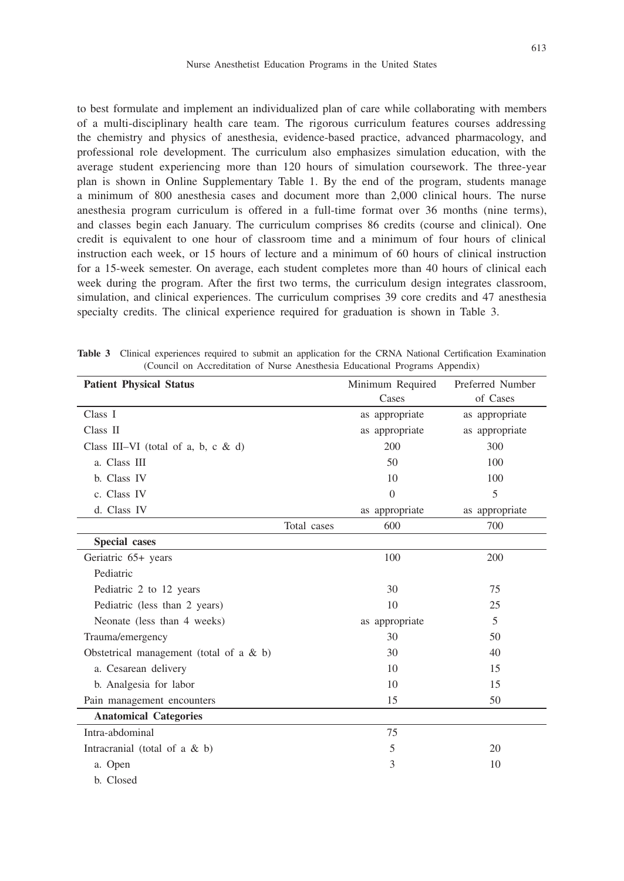613

to best formulate and implement an individualized plan of care while collaborating with members of a multi-disciplinary health care team. The rigorous curriculum features courses addressing the chemistry and physics of anesthesia, evidence-based practice, advanced pharmacology, and professional role development. The curriculum also emphasizes simulation education, with the average student experiencing more than 120 hours of simulation coursework. The three-year plan is shown in Online Supplementary Table 1. By the end of the program, students manage a minimum of 800 anesthesia cases and document more than 2,000 clinical hours. The nurse anesthesia program curriculum is offered in a full-time format over 36 months (nine terms), and classes begin each January. The curriculum comprises 86 credits (course and clinical). One credit is equivalent to one hour of classroom time and a minimum of four hours of clinical instruction each week, or 15 hours of lecture and a minimum of 60 hours of clinical instruction for a 15-week semester. On average, each student completes more than 40 hours of clinical each week during the program. After the first two terms, the curriculum design integrates classroom, simulation, and clinical experiences. The curriculum comprises 39 core credits and 47 anesthesia specialty credits. The clinical experience required for graduation is shown in Table 3.

| <b>Patient Physical Status</b>            |             | Minimum Required | Preferred Number |
|-------------------------------------------|-------------|------------------|------------------|
|                                           |             | Cases            | of Cases         |
| Class I                                   |             | as appropriate   | as appropriate   |
| Class II                                  |             | as appropriate   | as appropriate   |
| Class III-VI (total of a, b, c & d)       |             | 200              | 300              |
| a. Class III                              |             | 50               | 100              |
| b. Class IV                               |             | 10               | 100              |
| c. Class IV                               |             | $\Omega$         | 5                |
| d. Class IV                               |             | as appropriate   | as appropriate   |
|                                           | Total cases | 600              | 700              |
| Special cases                             |             |                  |                  |
| Geriatric 65+ years                       |             | 100              | 200              |
| Pediatric                                 |             |                  |                  |
| Pediatric 2 to 12 years                   |             | 30               | 75               |
| Pediatric (less than 2 years)             |             | 10               | 25               |
| Neonate (less than 4 weeks)               |             | as appropriate   | 5                |
| Trauma/emergency                          |             | 30               | 50               |
| Obstetrical management (total of a $&$ b) |             | 30               | 40               |
| a. Cesarean delivery                      |             | 10               | 15               |
| b. Analgesia for labor                    |             | 10               | 15               |
| Pain management encounters                |             | 15               | 50               |
| <b>Anatomical Categories</b>              |             |                  |                  |
| Intra-abdominal                           |             | 75               |                  |
| Intracranial (total of a $&$ b)           |             | 5                | 20               |
| a. Open                                   |             | 3                | 10               |
| b. Closed                                 |             |                  |                  |

**Table 3** Clinical experiences required to submit an application for the CRNA National Certification Examination (Council on Accreditation of Nurse Anesthesia Educational Programs Appendix)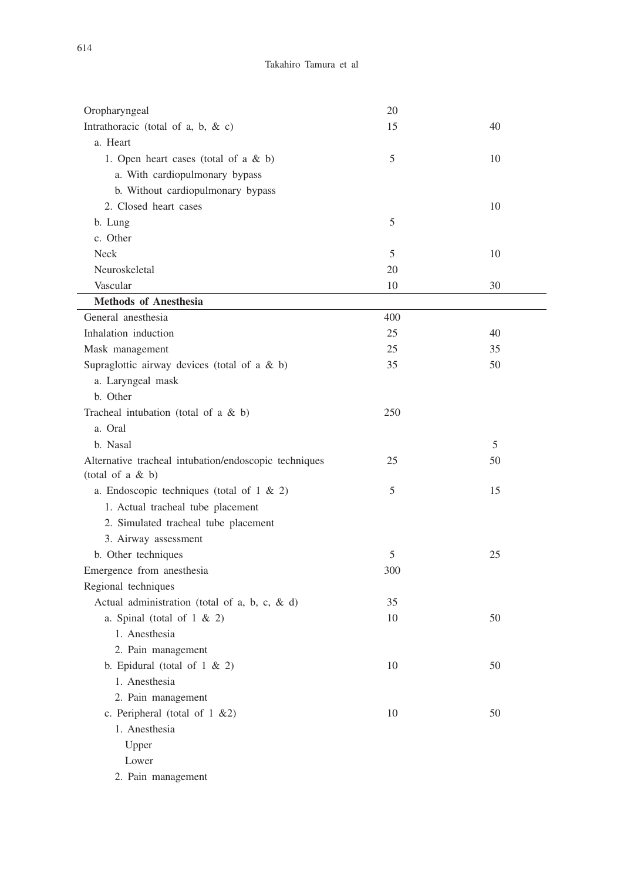| Oropharyngeal                                         | 20  |    |
|-------------------------------------------------------|-----|----|
| Intrathoracic (total of a, b, & c)                    | 15  | 40 |
| a. Heart                                              |     |    |
| 1. Open heart cases (total of a & b)                  | 5   | 10 |
| a. With cardiopulmonary bypass                        |     |    |
| b. Without cardiopulmonary bypass                     |     |    |
| 2. Closed heart cases                                 |     | 10 |
| b. Lung                                               | 5   |    |
| c. Other                                              |     |    |
| Neck                                                  | 5   | 10 |
| Neuroskeletal                                         | 20  |    |
| Vascular                                              | 10  | 30 |
| <b>Methods of Anesthesia</b>                          |     |    |
| General anesthesia                                    | 400 |    |
| Inhalation induction                                  | 25  | 40 |
| Mask management                                       | 25  | 35 |
| Supraglottic airway devices (total of a & b)          | 35  | 50 |
| a. Laryngeal mask                                     |     |    |
| b. Other                                              |     |    |
| Tracheal intubation (total of a $&$ b)                | 250 |    |
| a. Oral                                               |     |    |
| b. Nasal                                              |     | 5  |
| Alternative tracheal intubation/endoscopic techniques | 25  | 50 |
| (total of a $& b)$                                    |     |    |
| a. Endoscopic techniques (total of $1 \& 2$ )         | 5   | 15 |
| 1. Actual tracheal tube placement                     |     |    |
| 2. Simulated tracheal tube placement                  |     |    |
| 3. Airway assessment                                  |     |    |
| b. Other techniques                                   | 5   | 25 |
| Emergence from anesthesia                             | 300 |    |
| Regional techniques                                   |     |    |
| Actual administration (total of a, b, c, & d)         | 35  |    |
| a. Spinal (total of $1 \& 2$ )                        | 10  | 50 |
| 1. Anesthesia                                         |     |    |
| 2. Pain management                                    |     |    |
| b. Epidural (total of $1 \& 2$ )                      | 10  | 50 |
| 1. Anesthesia                                         |     |    |
| 2. Pain management                                    |     |    |
| c. Peripheral (total of 1 &2)                         | 10  | 50 |
| 1. Anesthesia                                         |     |    |
| Upper                                                 |     |    |
| Lower                                                 |     |    |
| 2. Pain management                                    |     |    |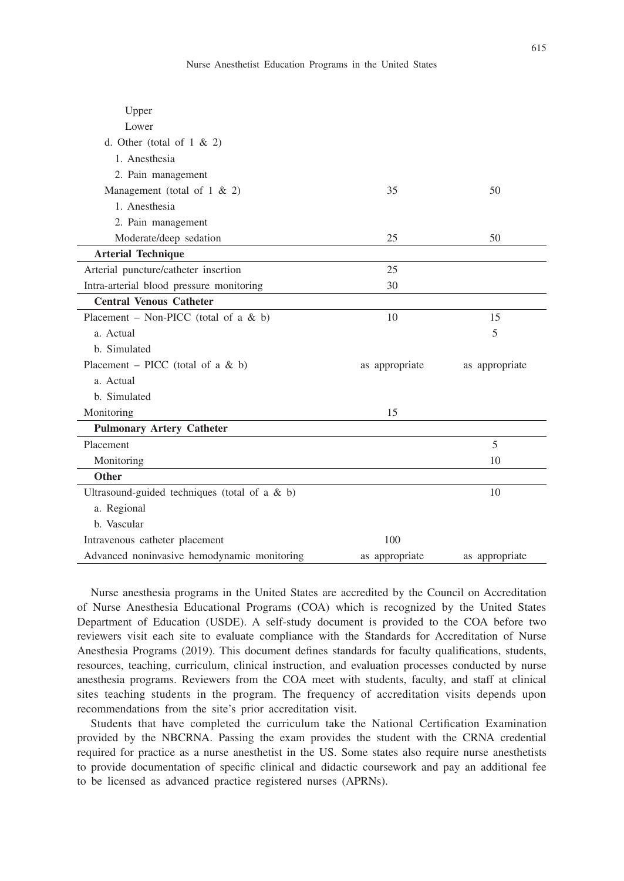| Upper                                           |                |                |
|-------------------------------------------------|----------------|----------------|
| Lower                                           |                |                |
| d. Other (total of $1 \& 2$ )                   |                |                |
| 1. Anesthesia                                   |                |                |
| 2. Pain management                              |                |                |
| Management (total of $1 \& 2$ )                 | 35             | 50             |
| 1. Anesthesia                                   |                |                |
| 2. Pain management                              |                |                |
| Moderate/deep sedation                          | 25             | 50             |
| <b>Arterial Technique</b>                       |                |                |
| Arterial puncture/catheter insertion            | 25             |                |
| Intra-arterial blood pressure monitoring        | 30             |                |
| <b>Central Venous Catheter</b>                  |                |                |
| Placement – Non-PICC (total of a $& b$ )        | 10             | 15             |
| a. Actual                                       |                | 5              |
| b. Simulated                                    |                |                |
| Placement – PICC (total of a & b)               | as appropriate | as appropriate |
| a. Actual                                       |                |                |
| b. Simulated                                    |                |                |
| Monitoring                                      | 15             |                |
| <b>Pulmonary Artery Catheter</b>                |                |                |
| Placement                                       |                | 5              |
| Monitoring                                      |                | 10             |
| Other                                           |                |                |
| Ultrasound-guided techniques (total of a $&$ b) |                | 10             |
| a. Regional                                     |                |                |
| b. Vascular                                     |                |                |
| Intravenous catheter placement                  | 100            |                |
| Advanced noninvasive hemodynamic monitoring     | as appropriate | as appropriate |

Nurse anesthesia programs in the United States are accredited by the Council on Accreditation of Nurse Anesthesia Educational Programs (COA) which is recognized by the United States Department of Education (USDE). A self-study document is provided to the COA before two reviewers visit each site to evaluate compliance with the Standards for Accreditation of Nurse Anesthesia Programs (2019). This document defines standards for faculty qualifications, students, resources, teaching, curriculum, clinical instruction, and evaluation processes conducted by nurse anesthesia programs. Reviewers from the COA meet with students, faculty, and staff at clinical sites teaching students in the program. The frequency of accreditation visits depends upon recommendations from the site's prior accreditation visit.

Students that have completed the curriculum take the National Certification Examination provided by the NBCRNA. Passing the exam provides the student with the CRNA credential required for practice as a nurse anesthetist in the US. Some states also require nurse anesthetists to provide documentation of specific clinical and didactic coursework and pay an additional fee to be licensed as advanced practice registered nurses (APRNs).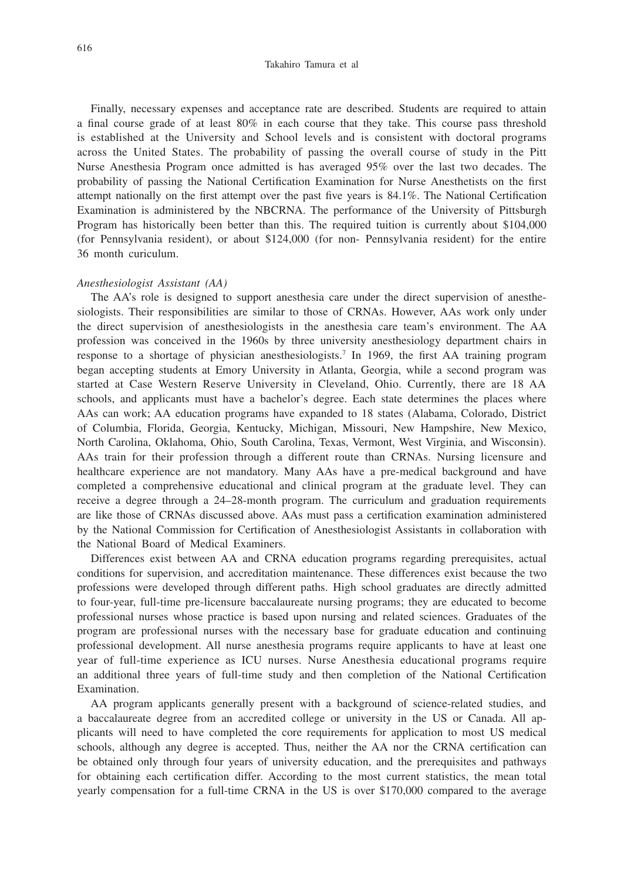#### Takahiro Tamura et al

Finally, necessary expenses and acceptance rate are described. Students are required to attain a final course grade of at least 80% in each course that they take. This course pass threshold is established at the University and School levels and is consistent with doctoral programs across the United States. The probability of passing the overall course of study in the Pitt Nurse Anesthesia Program once admitted is has averaged 95% over the last two decades. The probability of passing the National Certification Examination for Nurse Anesthetists on the first attempt nationally on the first attempt over the past five years is 84.1%. The National Certification Examination is administered by the NBCRNA. The performance of the University of Pittsburgh Program has historically been better than this. The required tuition is currently about \$104,000 (for Pennsylvania resident), or about \$124,000 (for non- Pennsylvania resident) for the entire 36 month curiculum.

#### *Anesthesiologist Assistant (AA)*

The AA's role is designed to support anesthesia care under the direct supervision of anesthesiologists. Their responsibilities are similar to those of CRNAs. However, AAs work only under the direct supervision of anesthesiologists in the anesthesia care team's environment. The AA profession was conceived in the 1960s by three university anesthesiology department chairs in response to a shortage of physician anesthesiologists.7 In 1969, the first AA training program began accepting students at Emory University in Atlanta, Georgia, while a second program was started at Case Western Reserve University in Cleveland, Ohio. Currently, there are 18 AA schools, and applicants must have a bachelor's degree. Each state determines the places where AAs can work; AA education programs have expanded to 18 states (Alabama, Colorado, District of Columbia, Florida, Georgia, Kentucky, Michigan, Missouri, New Hampshire, New Mexico, North Carolina, Oklahoma, Ohio, South Carolina, Texas, Vermont, West Virginia, and Wisconsin). AAs train for their profession through a different route than CRNAs. Nursing licensure and healthcare experience are not mandatory. Many AAs have a pre-medical background and have completed a comprehensive educational and clinical program at the graduate level. They can receive a degree through a 24–28-month program. The curriculum and graduation requirements are like those of CRNAs discussed above. AAs must pass a certification examination administered by the National Commission for Certification of Anesthesiologist Assistants in collaboration with the National Board of Medical Examiners.

Differences exist between AA and CRNA education programs regarding prerequisites, actual conditions for supervision, and accreditation maintenance. These differences exist because the two professions were developed through different paths. High school graduates are directly admitted to four-year, full-time pre-licensure baccalaureate nursing programs; they are educated to become professional nurses whose practice is based upon nursing and related sciences. Graduates of the program are professional nurses with the necessary base for graduate education and continuing professional development. All nurse anesthesia programs require applicants to have at least one year of full-time experience as ICU nurses. Nurse Anesthesia educational programs require an additional three years of full-time study and then completion of the National Certification Examination.

AA program applicants generally present with a background of science-related studies, and a baccalaureate degree from an accredited college or university in the US or Canada. All applicants will need to have completed the core requirements for application to most US medical schools, although any degree is accepted. Thus, neither the AA nor the CRNA certification can be obtained only through four years of university education, and the prerequisites and pathways for obtaining each certification differ. According to the most current statistics, the mean total yearly compensation for a full-time CRNA in the US is over \$170,000 compared to the average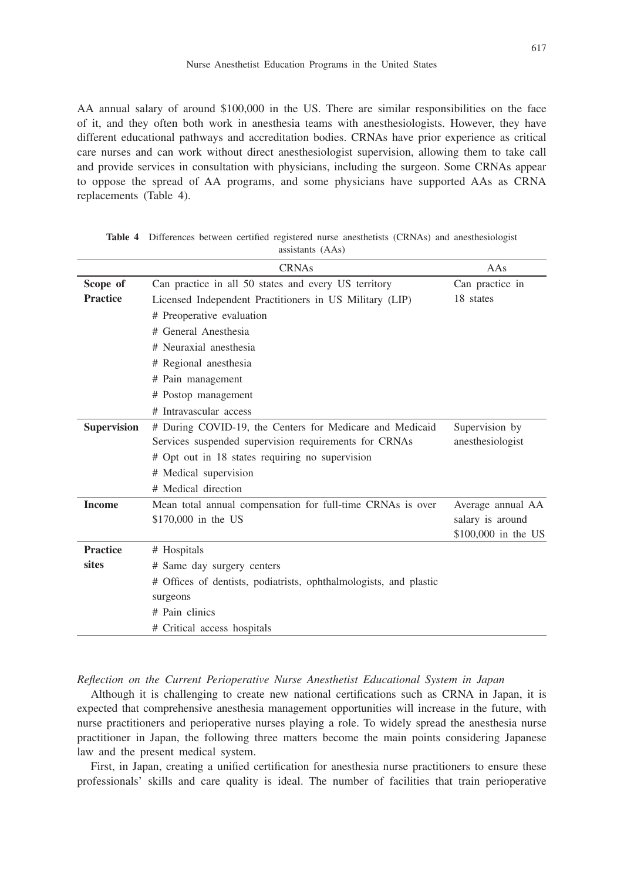AA annual salary of around \$100,000 in the US. There are similar responsibilities on the face of it, and they often both work in anesthesia teams with anesthesiologists. However, they have different educational pathways and accreditation bodies. CRNAs have prior experience as critical care nurses and can work without direct anesthesiologist supervision, allowing them to take call and provide services in consultation with physicians, including the surgeon. Some CRNAs appear to oppose the spread of AA programs, and some physicians have supported AAs as CRNA replacements (Table 4).

|                    | <b>CRNAs</b>                                                      | AAs                 |
|--------------------|-------------------------------------------------------------------|---------------------|
| Scope of           | Can practice in all 50 states and every US territory              | Can practice in     |
| <b>Practice</b>    | Licensed Independent Practitioners in US Military (LIP)           | 18 states           |
|                    | # Preoperative evaluation                                         |                     |
|                    | # General Anesthesia                                              |                     |
|                    | # Neuraxial anesthesia                                            |                     |
|                    | # Regional anesthesia                                             |                     |
|                    | # Pain management                                                 |                     |
|                    | # Postop management                                               |                     |
|                    | # Intravascular access                                            |                     |
| <b>Supervision</b> | # During COVID-19, the Centers for Medicare and Medicaid          | Supervision by      |
|                    | Services suspended supervision requirements for CRNAs             | anesthesiologist    |
|                    | # Opt out in 18 states requiring no supervision                   |                     |
|                    | # Medical supervision                                             |                     |
|                    | # Medical direction                                               |                     |
| <b>Income</b>      | Mean total annual compensation for full-time CRNAs is over        | Average annual AA   |
|                    | \$170,000 in the US                                               | salary is around    |
|                    |                                                                   | \$100,000 in the US |
| <b>Practice</b>    | # Hospitals                                                       |                     |
| sites              | # Same day surgery centers                                        |                     |
|                    | # Offices of dentists, podiatrists, ophthalmologists, and plastic |                     |
|                    | surgeons                                                          |                     |
|                    | # Pain clinics                                                    |                     |
|                    | # Critical access hospitals                                       |                     |

**Table 4** Differences between certified registered nurse anesthetists (CRNAs) and anesthesiologist assistants (AAs)

*Reflection on the Current Perioperative Nurse Anesthetist Educational System in Japan*

Although it is challenging to create new national certifications such as CRNA in Japan, it is expected that comprehensive anesthesia management opportunities will increase in the future, with nurse practitioners and perioperative nurses playing a role. To widely spread the anesthesia nurse practitioner in Japan, the following three matters become the main points considering Japanese law and the present medical system.

First, in Japan, creating a unified certification for anesthesia nurse practitioners to ensure these professionals' skills and care quality is ideal. The number of facilities that train perioperative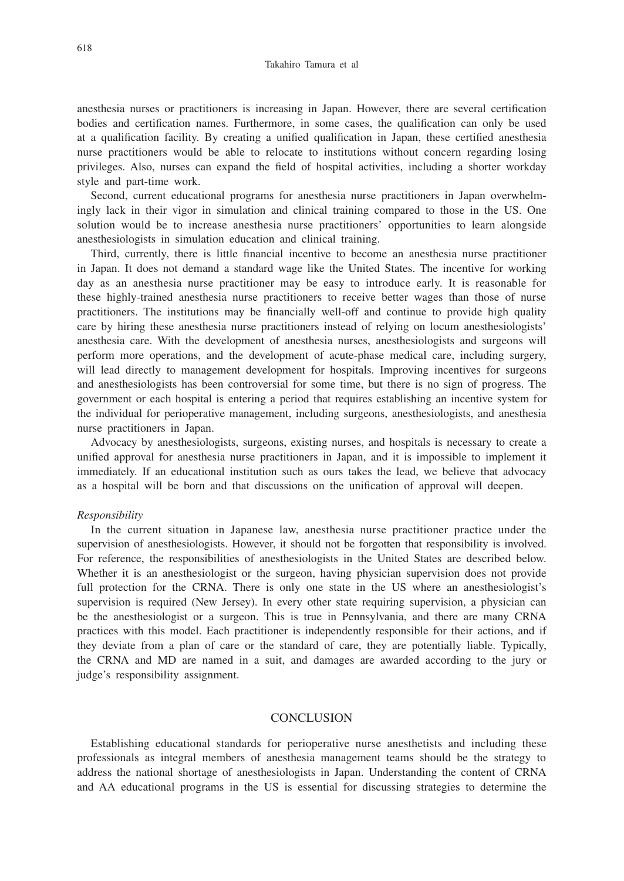anesthesia nurses or practitioners is increasing in Japan. However, there are several certification bodies and certification names. Furthermore, in some cases, the qualification can only be used at a qualification facility. By creating a unified qualification in Japan, these certified anesthesia nurse practitioners would be able to relocate to institutions without concern regarding losing privileges. Also, nurses can expand the field of hospital activities, including a shorter workday style and part-time work.

Second, current educational programs for anesthesia nurse practitioners in Japan overwhelmingly lack in their vigor in simulation and clinical training compared to those in the US. One solution would be to increase anesthesia nurse practitioners' opportunities to learn alongside anesthesiologists in simulation education and clinical training.

Third, currently, there is little financial incentive to become an anesthesia nurse practitioner in Japan. It does not demand a standard wage like the United States. The incentive for working day as an anesthesia nurse practitioner may be easy to introduce early. It is reasonable for these highly-trained anesthesia nurse practitioners to receive better wages than those of nurse practitioners. The institutions may be financially well-off and continue to provide high quality care by hiring these anesthesia nurse practitioners instead of relying on locum anesthesiologists' anesthesia care. With the development of anesthesia nurses, anesthesiologists and surgeons will perform more operations, and the development of acute-phase medical care, including surgery, will lead directly to management development for hospitals. Improving incentives for surgeons and anesthesiologists has been controversial for some time, but there is no sign of progress. The government or each hospital is entering a period that requires establishing an incentive system for the individual for perioperative management, including surgeons, anesthesiologists, and anesthesia nurse practitioners in Japan.

Advocacy by anesthesiologists, surgeons, existing nurses, and hospitals is necessary to create a unified approval for anesthesia nurse practitioners in Japan, and it is impossible to implement it immediately. If an educational institution such as ours takes the lead, we believe that advocacy as a hospital will be born and that discussions on the unification of approval will deepen.

#### *Responsibility*

In the current situation in Japanese law, anesthesia nurse practitioner practice under the supervision of anesthesiologists. However, it should not be forgotten that responsibility is involved. For reference, the responsibilities of anesthesiologists in the United States are described below. Whether it is an anesthesiologist or the surgeon, having physician supervision does not provide full protection for the CRNA. There is only one state in the US where an anesthesiologist's supervision is required (New Jersey). In every other state requiring supervision, a physician can be the anesthesiologist or a surgeon. This is true in Pennsylvania, and there are many CRNA practices with this model. Each practitioner is independently responsible for their actions, and if they deviate from a plan of care or the standard of care, they are potentially liable. Typically, the CRNA and MD are named in a suit, and damages are awarded according to the jury or judge's responsibility assignment.

#### **CONCLUSION**

Establishing educational standards for perioperative nurse anesthetists and including these professionals as integral members of anesthesia management teams should be the strategy to address the national shortage of anesthesiologists in Japan. Understanding the content of CRNA and AA educational programs in the US is essential for discussing strategies to determine the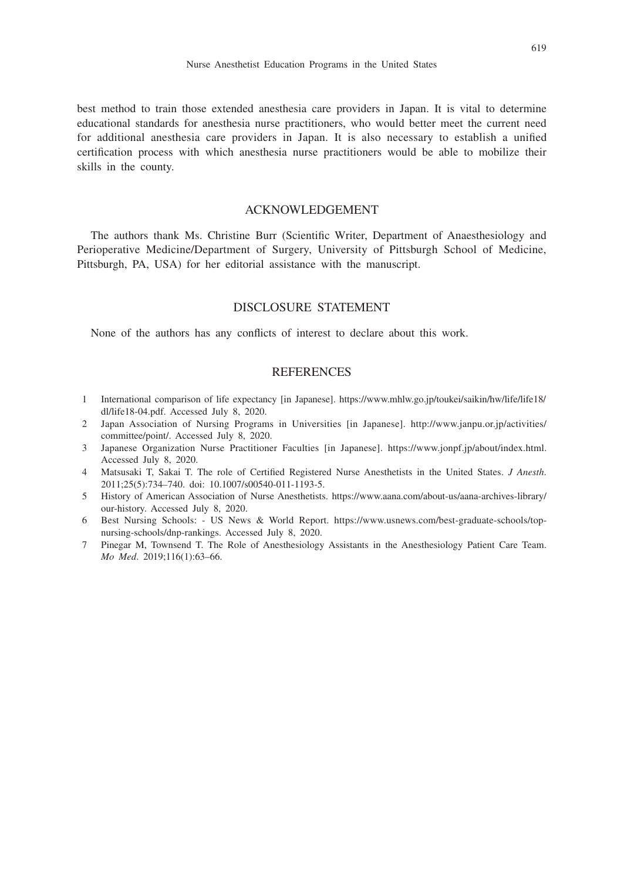best method to train those extended anesthesia care providers in Japan. It is vital to determine educational standards for anesthesia nurse practitioners, who would better meet the current need for additional anesthesia care providers in Japan. It is also necessary to establish a unified certification process with which anesthesia nurse practitioners would be able to mobilize their skills in the county.

## ACKNOWLEDGEMENT

The authors thank Ms. Christine Burr (Scientific Writer, Department of Anaesthesiology and Perioperative Medicine/Department of Surgery, University of Pittsburgh School of Medicine, Pittsburgh, PA, USA) for her editorial assistance with the manuscript.

## DISCLOSURE STATEMENT

None of the authors has any conflicts of interest to declare about this work.

#### **REFERENCES**

- 1 International comparison of life expectancy [in Japanese]. https://www.mhlw.go.jp/toukei/saikin/hw/life/life18/ dl/life18-04.pdf. Accessed July 8, 2020.
- 2 Japan Association of Nursing Programs in Universities [in Japanese]. http://www.janpu.or.jp/activities/ committee/point/. Accessed July 8, 2020.
- 3 Japanese Organization Nurse Practitioner Faculties [in Japanese]. https://www.jonpf.jp/about/index.html. Accessed July 8, 2020.
- 4 Matsusaki T, Sakai T. The role of Certified Registered Nurse Anesthetists in the United States. *J Anesth*. 2011;25(5):734–740. doi: 10.1007/s00540-011-1193-5.
- 5 History of American Association of Nurse Anesthetists. https://www.aana.com/about-us/aana-archives-library/ our-history. Accessed July 8, 2020.
- 6 Best Nursing Schools: US News & World Report. https://www.usnews.com/best-graduate-schools/topnursing-schools/dnp-rankings. Accessed July 8, 2020.
- 7 Pinegar M, Townsend T. The Role of Anesthesiology Assistants in the Anesthesiology Patient Care Team. *Mo Med*. 2019;116(1):63–66.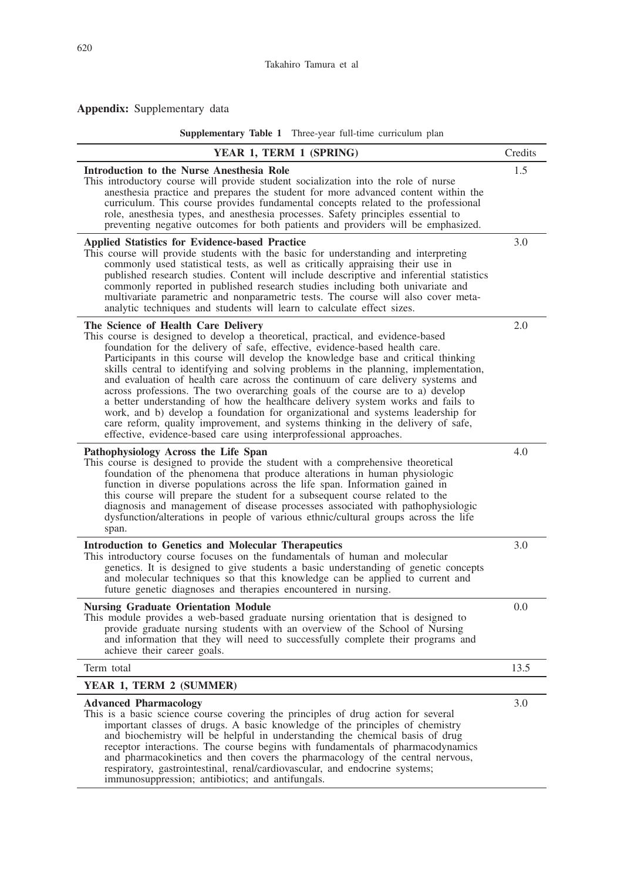# **Appendix:** Supplementary data

**Supplementary Table 1** Three-year full-time curriculum plan

| YEAR 1, TERM 1 (SPRING)                                                                                                                                                                                                                                                                                                                                                                                                                                                                                                                                                                                                                                                                                                                                                                                                                                                              | Credits |
|--------------------------------------------------------------------------------------------------------------------------------------------------------------------------------------------------------------------------------------------------------------------------------------------------------------------------------------------------------------------------------------------------------------------------------------------------------------------------------------------------------------------------------------------------------------------------------------------------------------------------------------------------------------------------------------------------------------------------------------------------------------------------------------------------------------------------------------------------------------------------------------|---------|
| Introduction to the Nurse Anesthesia Role<br>This introductory course will provide student socialization into the role of nurse<br>anesthesia practice and prepares the student for more advanced content within the<br>curriculum. This course provides fundamental concepts related to the professional<br>role, anesthesia types, and anesthesia processes. Safety principles essential to<br>preventing negative outcomes for both patients and providers will be emphasized.                                                                                                                                                                                                                                                                                                                                                                                                    | 1.5     |
| <b>Applied Statistics for Evidence-based Practice</b><br>This course will provide students with the basic for understanding and interpreting<br>commonly used statistical tests, as well as critically appraising their use in<br>published research studies. Content will include descriptive and inferential statistics<br>commonly reported in published research studies including both univariate and<br>multivariate parametric and nonparametric tests. The course will also cover meta-<br>analytic techniques and students will learn to calculate effect sizes.                                                                                                                                                                                                                                                                                                            | 3.0     |
| The Science of Health Care Delivery<br>This course is designed to develop a theoretical, practical, and evidence-based<br>foundation for the delivery of safe, effective, evidence-based health care.<br>Participants in this course will develop the knowledge base and critical thinking<br>skills central to identifying and solving problems in the planning, implementation,<br>and evaluation of health care across the continuum of care delivery systems and<br>across professions. The two overarching goals of the course are to a) develop<br>a better understanding of how the healthcare delivery system works and fails to<br>work, and b) develop a foundation for organizational and systems leadership for<br>care reform, quality improvement, and systems thinking in the delivery of safe,<br>effective, evidence-based care using interprofessional approaches. | 2.0     |
| Pathophysiology Across the Life Span<br>This course is designed to provide the student with a comprehensive theoretical<br>foundation of the phenomena that produce alterations in human physiologic<br>function in diverse populations across the life span. Information gained in<br>this course will prepare the student for a subsequent course related to the<br>diagnosis and management of disease processes associated with pathophysiologic<br>dysfunction/alterations in people of various ethnic/cultural groups across the life<br>span.                                                                                                                                                                                                                                                                                                                                 | 4.0     |
| <b>Introduction to Genetics and Molecular Therapeutics</b><br>This introductory course focuses on the fundamentals of human and molecular<br>genetics. It is designed to give students a basic understanding of genetic concepts<br>and molecular techniques so that this knowledge can be applied to current and<br>future genetic diagnoses and therapies encountered in nursing.                                                                                                                                                                                                                                                                                                                                                                                                                                                                                                  | 3.0     |
| <b>Nursing Graduate Orientation Module</b><br>This module provides a web-based graduate nursing orientation that is designed to<br>provide graduate nursing students with an overview of the School of Nursing<br>and information that they will need to successfully complete their programs and<br>achieve their career goals.                                                                                                                                                                                                                                                                                                                                                                                                                                                                                                                                                     | 0.0     |
| Term total                                                                                                                                                                                                                                                                                                                                                                                                                                                                                                                                                                                                                                                                                                                                                                                                                                                                           | 13.5    |
| YEAR 1, TERM 2 (SUMMER)                                                                                                                                                                                                                                                                                                                                                                                                                                                                                                                                                                                                                                                                                                                                                                                                                                                              |         |
| <b>Advanced Pharmacology</b><br>This is a basic science course covering the principles of drug action for several<br>important classes of drugs. A basic knowledge of the principles of chemistry<br>and biochemistry will be helpful in understanding the chemical basis of drug<br>receptor interactions. The course begins with fundamentals of pharmacodynamics<br>and pharmacokinetics and then covers the pharmacology of the central nervous,<br>respiratory, gastrointestinal, renal/cardiovascular, and endocrine systems;<br>immunosuppression; antibiotics; and antifungals.                                                                                                                                                                                                                                                                                              | 3.0     |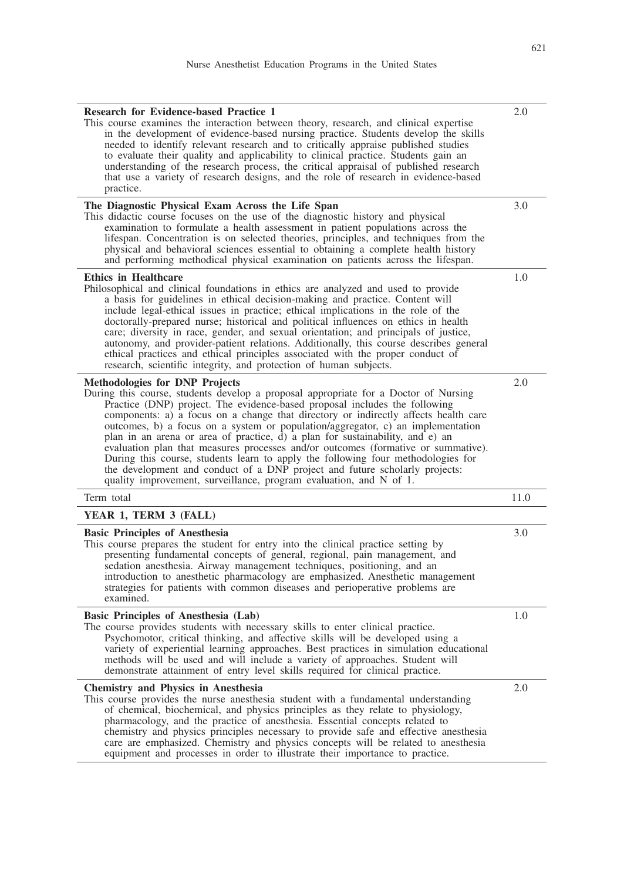| <b>Research for Evidence-based Practice 1</b><br>This course examines the interaction between theory, research, and clinical expertise<br>in the development of evidence-based nursing practice. Students develop the skills<br>needed to identify relevant research and to critically appraise published studies<br>to evaluate their quality and applicability to clinical practice. Students gain an<br>understanding of the research process, the critical appraisal of published research<br>that use a variety of research designs, and the role of research in evidence-based<br>practice.                                                                                                                                                                                                   | 2.0  |
|-----------------------------------------------------------------------------------------------------------------------------------------------------------------------------------------------------------------------------------------------------------------------------------------------------------------------------------------------------------------------------------------------------------------------------------------------------------------------------------------------------------------------------------------------------------------------------------------------------------------------------------------------------------------------------------------------------------------------------------------------------------------------------------------------------|------|
| The Diagnostic Physical Exam Across the Life Span<br>This didactic course focuses on the use of the diagnostic history and physical<br>examination to formulate a health assessment in patient populations across the<br>lifespan. Concentration is on selected theories, principles, and techniques from the<br>physical and behavioral sciences essential to obtaining a complete health history<br>and performing methodical physical examination on patients across the lifespan.                                                                                                                                                                                                                                                                                                               | 3.0  |
| <b>Ethics in Healthcare</b><br>Philosophical and clinical foundations in ethics are analyzed and used to provide<br>a basis for guidelines in ethical decision-making and practice. Content will<br>include legal-ethical issues in practice; ethical implications in the role of the<br>doctorally-prepared nurse; historical and political influences on ethics in health<br>care; diversity in race, gender, and sexual orientation; and principals of justice,<br>autonomy, and provider-patient relations. Additionally, this course describes general<br>ethical practices and ethical principles associated with the proper conduct of<br>research, scientific integrity, and protection of human subjects.                                                                                  | 1.0  |
| <b>Methodologies for DNP Projects</b><br>During this course, students develop a proposal appropriate for a Doctor of Nursing<br>Practice (DNP) project. The evidence-based proposal includes the following<br>components: a) a focus on a change that directory or indirectly affects health care<br>outcomes, b) a focus on a system or population/aggregator, c) an implementation<br>plan in an arena or area of practice, d) a plan for sustainability, and e) an<br>evaluation plan that measures processes and/or outcomes (formative or summative).<br>During this course, students learn to apply the following four methodologies for<br>the development and conduct of a DNP project and future scholarly projects:<br>quality improvement, surveillance, program evaluation, and N of 1. | 2.0  |
| Term total                                                                                                                                                                                                                                                                                                                                                                                                                                                                                                                                                                                                                                                                                                                                                                                          | 11.0 |
| YEAR 1, TERM 3 (FALL)                                                                                                                                                                                                                                                                                                                                                                                                                                                                                                                                                                                                                                                                                                                                                                               |      |
| <b>Basic Principles of Anesthesia</b><br>This course prepares the student for entry into the clinical practice setting by<br>presenting fundamental concepts of general, regional, pain management, and<br>sedation anesthesia. Airway management techniques, positioning, and an<br>introduction to anesthetic pharmacology are emphasized. Anesthetic management<br>strategies for patients with common diseases and perioperative problems are<br>examined.                                                                                                                                                                                                                                                                                                                                      | 3.0  |
| Basic Principles of Anesthesia (Lab)<br>The course provides students with necessary skills to enter clinical practice.<br>Psychomotor, critical thinking, and affective skills will be developed using a<br>variety of experiential learning approaches. Best practices in simulation educational<br>methods will be used and will include a variety of approaches. Student will<br>demonstrate attainment of entry level skills required for clinical practice.                                                                                                                                                                                                                                                                                                                                    | 1.0  |
| <b>Chemistry and Physics in Anesthesia</b><br>This course provides the nurse anesthesia student with a fundamental understanding<br>of chemical, biochemical, and physics principles as they relate to physiology,<br>pharmacology, and the practice of anesthesia. Essential concepts related to<br>chemistry and physics principles necessary to provide safe and effective anesthesia<br>care are emphasized. Chemistry and physics concepts will be related to anesthesia<br>equipment and processes in order to illustrate their importance to practice.                                                                                                                                                                                                                                       | 2.0  |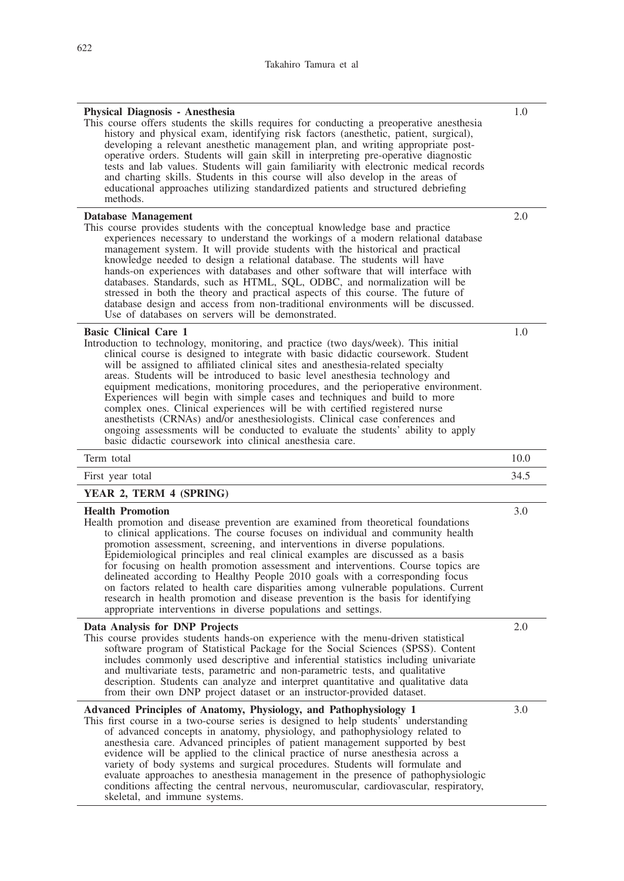| Physical Diagnosis - Anesthesia<br>This course offers students the skills requires for conducting a preoperative anesthesia<br>history and physical exam, identifying risk factors (anesthetic, patient, surgical),<br>developing a relevant anesthetic management plan, and writing appropriate post-<br>operative orders. Students will gain skill in interpreting pre-operative diagnostic<br>tests and lab values. Students will gain familiarity with electronic medical records<br>and charting skills. Students in this course will also develop in the areas of<br>educational approaches utilizing standardized patients and structured debriefing<br>methods.                                                                                                                                                                                | 1.0  |
|--------------------------------------------------------------------------------------------------------------------------------------------------------------------------------------------------------------------------------------------------------------------------------------------------------------------------------------------------------------------------------------------------------------------------------------------------------------------------------------------------------------------------------------------------------------------------------------------------------------------------------------------------------------------------------------------------------------------------------------------------------------------------------------------------------------------------------------------------------|------|
| Database Management<br>This course provides students with the conceptual knowledge base and practice<br>experiences necessary to understand the workings of a modern relational database<br>management system. It will provide students with the historical and practical<br>knowledge needed to design a relational database. The students will have<br>hands-on experiences with databases and other software that will interface with<br>databases. Standards, such as HTML, SQL, ODBC, and normalization will be<br>stressed in both the theory and practical aspects of this course. The future of<br>database design and access from non-traditional environments will be discussed.<br>Use of databases on servers will be demonstrated.                                                                                                        | 2.0  |
| <b>Basic Clinical Care 1</b><br>Introduction to technology, monitoring, and practice (two days/week). This initial<br>clinical course is designed to integrate with basic didactic coursework. Student<br>will be assigned to affiliated clinical sites and anesthesia-related specialty<br>areas. Students will be introduced to basic level anesthesia technology and<br>equipment medications, monitoring procedures, and the perioperative environment.<br>Experiences will begin with simple cases and techniques and build to more<br>complex ones. Clinical experiences will be with certified registered nurse<br>anesthetists (CRNAs) and/or anesthesiologists. Clinical case conferences and<br>ongoing assessments will be conducted to evaluate the students' ability to apply<br>basic didactic coursework into clinical anesthesia care. | 1.0  |
| Term total                                                                                                                                                                                                                                                                                                                                                                                                                                                                                                                                                                                                                                                                                                                                                                                                                                             | 10.0 |
| First year total                                                                                                                                                                                                                                                                                                                                                                                                                                                                                                                                                                                                                                                                                                                                                                                                                                       | 34.5 |
| YEAR 2, TERM 4 (SPRING)                                                                                                                                                                                                                                                                                                                                                                                                                                                                                                                                                                                                                                                                                                                                                                                                                                |      |
| <b>Health Promotion</b><br>Health promotion and disease prevention are examined from theoretical foundations<br>to clinical applications. The course focuses on individual and community health<br>promotion assessment, screening, and interventions in diverse populations.<br>Epidemiological principles and real clinical examples are discussed as a basis<br>for focusing on health promotion assessment and interventions. Course topics are<br>delineated according to Healthy People 2010 goals with a corresponding focus<br>on factors related to health care disparities among vulnerable populations. Current<br>research in health promotion and disease prevention is the basis for identifying<br>appropriate interventions in diverse populations and settings.                                                                       | 3.0  |
| Data Analysis for DNP Projects<br>This course provides students hands-on experience with the menu-driven statistical<br>software program of Statistical Package for the Social Sciences (SPSS). Content<br>includes commonly used descriptive and inferential statistics including univariate<br>and multivariate tests, parametric and non-parametric tests, and qualitative<br>description. Students can analyze and interpret quantitative and qualitative data<br>from their own DNP project dataset or an instructor-provided dataset.                                                                                                                                                                                                                                                                                                            | 2.0  |
| Advanced Principles of Anatomy, Physiology, and Pathophysiology 1<br>This first course in a two-course series is designed to help students' understanding<br>of advanced concepts in anatomy, physiology, and pathophysiology related to                                                                                                                                                                                                                                                                                                                                                                                                                                                                                                                                                                                                               | 3.0  |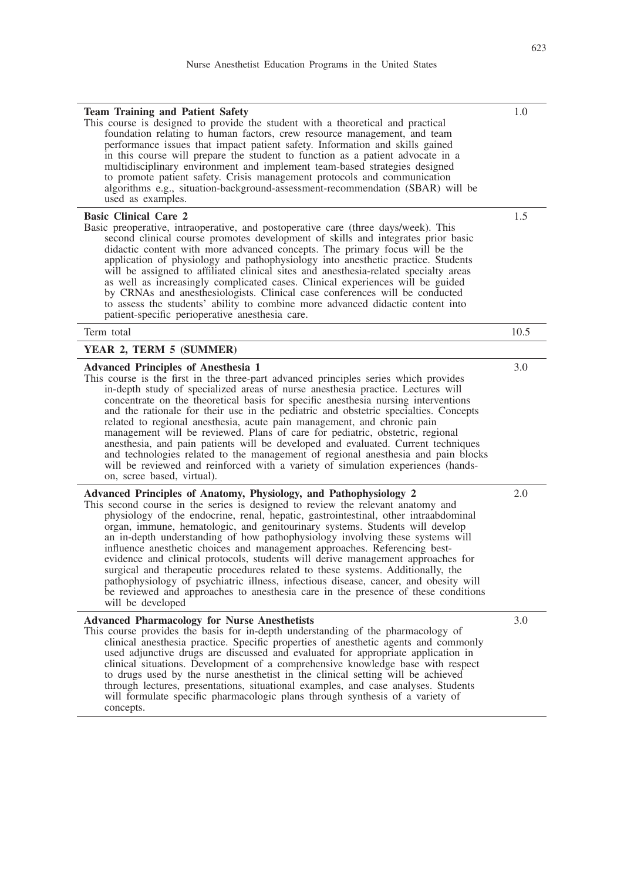| <b>Team Training and Patient Safety</b><br>This course is designed to provide the student with a theoretical and practical<br>foundation relating to human factors, crew resource management, and team<br>performance issues that impact patient safety. Information and skills gained<br>in this course will prepare the student to function as a patient advocate in a<br>multidisciplinary environment and implement team-based strategies designed<br>to promote patient safety. Crisis management protocols and communication<br>algorithms e.g., situation-background-assessment-recommendation (SBAR) will be<br>used as examples.                                                                                                                                                                                                                         | 1.0  |
|-------------------------------------------------------------------------------------------------------------------------------------------------------------------------------------------------------------------------------------------------------------------------------------------------------------------------------------------------------------------------------------------------------------------------------------------------------------------------------------------------------------------------------------------------------------------------------------------------------------------------------------------------------------------------------------------------------------------------------------------------------------------------------------------------------------------------------------------------------------------|------|
| <b>Basic Clinical Care 2</b><br>Basic preoperative, intraoperative, and postoperative care (three days/week). This<br>second clinical course promotes development of skills and integrates prior basic<br>didactic content with more advanced concepts. The primary focus will be the<br>application of physiology and pathophysiology into anesthetic practice. Students<br>will be assigned to affiliated clinical sites and anesthesia-related specialty areas<br>as well as increasingly complicated cases. Clinical experiences will be guided<br>by CRNAs and anesthesiologists. Clinical case conferences will be conducted<br>to assess the students' ability to combine more advanced didactic content into<br>patient-specific perioperative anesthesia care.                                                                                           | 1.5  |
| Term total                                                                                                                                                                                                                                                                                                                                                                                                                                                                                                                                                                                                                                                                                                                                                                                                                                                        | 10.5 |
| YEAR 2, TERM 5 (SUMMER)                                                                                                                                                                                                                                                                                                                                                                                                                                                                                                                                                                                                                                                                                                                                                                                                                                           |      |
| <b>Advanced Principles of Anesthesia 1</b><br>This course is the first in the three-part advanced principles series which provides<br>in-depth study of specialized areas of nurse anesthesia practice. Lectures will<br>concentrate on the theoretical basis for specific anesthesia nursing interventions<br>and the rationale for their use in the pediatric and obstetric specialties. Concepts<br>related to regional anesthesia, acute pain management, and chronic pain<br>management will be reviewed. Plans of care for pediatric, obstetric, regional<br>anesthesia, and pain patients will be developed and evaluated. Current techniques<br>and technologies related to the management of regional anesthesia and pain blocks<br>will be reviewed and reinforced with a variety of simulation experiences (hands-<br>on, scree based, virtual).       | 3.0  |
| Advanced Principles of Anatomy, Physiology, and Pathophysiology 2<br>This second course in the series is designed to review the relevant anatomy and<br>physiology of the endocrine, renal, hepatic, gastrointestinal, other intraabdominal<br>organ, immune, hematologic, and genitourinary systems. Students will develop<br>an in-depth understanding of how pathophysiology involving these systems will<br>influence anesthetic choices and management approaches. Referencing best-<br>evidence and clinical protocols, students will derive management approaches for<br>surgical and therapeutic procedures related to these systems. Additionally, the<br>pathophysiology of psychiatric illness, infectious disease, cancer, and obesity will<br>be reviewed and approaches to anesthesia care in the presence of these conditions<br>will be developed | 2.0  |
| <b>Advanced Pharmacology for Nurse Anesthetists</b><br>This course provides the basis for in-depth understanding of the pharmacology of<br>clinical anesthesia practice. Specific properties of anesthetic agents and commonly<br>used adjunctive drugs are discussed and evaluated for appropriate application in<br>clinical situations. Development of a comprehensive knowledge base with respect<br>to drugs used by the nurse anesthetist in the clinical setting will be achieved<br>through lectures, presentations, situational examples, and case analyses. Students<br>will formulate specific pharmacologic plans through synthesis of a variety of<br>concepts.                                                                                                                                                                                      | 3.0  |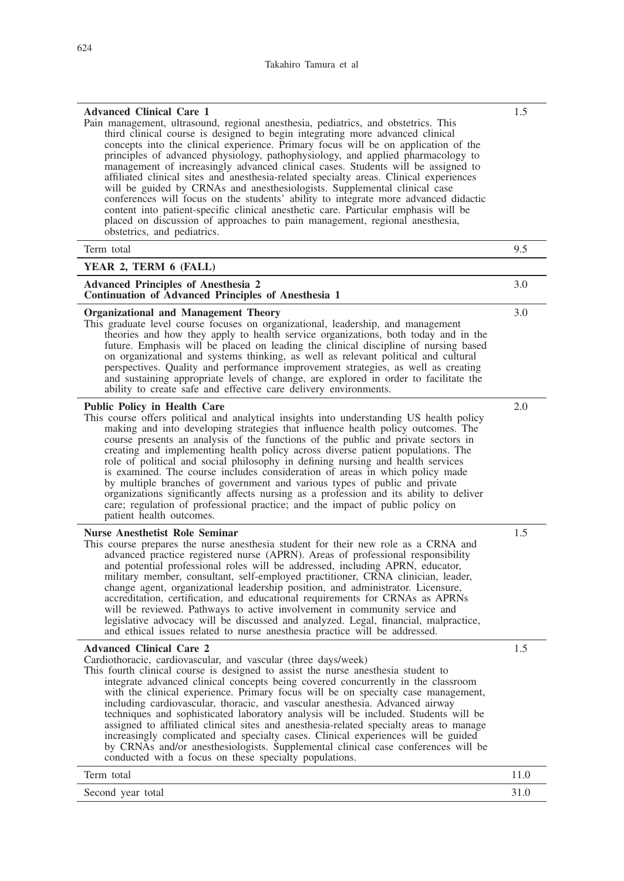| <b>Advanced Clinical Care 1</b><br>Pain management, ultrasound, regional anesthesia, pediatrics, and obstetrics. This<br>third clinical course is designed to begin integrating more advanced clinical<br>concepts into the clinical experience. Primary focus will be on application of the<br>principles of advanced physiology, pathophysiology, and applied pharmacology to<br>management of increasingly advanced clinical cases. Students will be assigned to<br>affiliated clinical sites and anesthesia-related specialty areas. Clinical experiences<br>will be guided by CRNAs and anesthesiologists. Supplemental clinical case<br>conferences will focus on the students' ability to integrate more advanced didactic<br>content into patient-specific clinical anesthetic care. Particular emphasis will be<br>placed on discussion of approaches to pain management, regional anesthesia,<br>obstetrics, and pediatrics. | 1.5  |
|----------------------------------------------------------------------------------------------------------------------------------------------------------------------------------------------------------------------------------------------------------------------------------------------------------------------------------------------------------------------------------------------------------------------------------------------------------------------------------------------------------------------------------------------------------------------------------------------------------------------------------------------------------------------------------------------------------------------------------------------------------------------------------------------------------------------------------------------------------------------------------------------------------------------------------------|------|
| Term total                                                                                                                                                                                                                                                                                                                                                                                                                                                                                                                                                                                                                                                                                                                                                                                                                                                                                                                             | 9.5  |
| YEAR 2, TERM 6 (FALL)                                                                                                                                                                                                                                                                                                                                                                                                                                                                                                                                                                                                                                                                                                                                                                                                                                                                                                                  |      |
| <b>Advanced Principles of Anesthesia 2</b><br>Continuation of Advanced Principles of Anesthesia 1                                                                                                                                                                                                                                                                                                                                                                                                                                                                                                                                                                                                                                                                                                                                                                                                                                      | 3.0  |
| <b>Organizational and Management Theory</b><br>This graduate level course focuses on organizational, leadership, and management<br>theories and how they apply to health service organizations, both today and in the<br>future. Emphasis will be placed on leading the clinical discipline of nursing based<br>on organizational and systems thinking, as well as relevant political and cultural<br>perspectives. Quality and performance improvement strategies, as well as creating<br>and sustaining appropriate levels of change, are explored in order to facilitate the<br>ability to create safe and effective care delivery environments.                                                                                                                                                                                                                                                                                    | 3.0  |
| <b>Public Policy in Health Care</b><br>This course offers political and analytical insights into understanding US health policy<br>making and into developing strategies that influence health policy outcomes. The<br>course presents an analysis of the functions of the public and private sectors in<br>creating and implementing health policy across diverse patient populations. The<br>role of political and social philosophy in defining nursing and health services<br>is examined. The course includes consideration of areas in which policy made<br>by multiple branches of government and various types of public and private<br>organizations significantly affects nursing as a profession and its ability to deliver<br>care; regulation of professional practice; and the impact of public policy on<br>patient health outcomes.                                                                                    | 2.0  |
| <b>Nurse Anesthetist Role Seminar</b><br>This course prepares the nurse anesthesia student for their new role as a CRNA and<br>advanced practice registered nurse (APRN). Areas of professional responsibility<br>and potential professional roles will be addressed, including APRN, educator,<br>military member, consultant, self-employed practitioner, CRNA clinician, leader,<br>change agent, organizational leadership position, and administrator. Licensure,<br>accreditation, certification, and educational requirements for CRNAs as APRNs<br>will be reviewed. Pathways to active involvement in community service and<br>legislative advocacy will be discussed and analyzed. Legal, financial, malpractice,<br>and ethical issues related to nurse anesthesia practice will be addressed.                                                                                                                              | 1.5  |
| <b>Advanced Clinical Care 2</b><br>Cardiothoracic, cardiovascular, and vascular (three days/week)<br>This fourth clinical course is designed to assist the nurse anesthesia student to<br>integrate advanced clinical concepts being covered concurrently in the classroom<br>with the clinical experience. Primary focus will be on specialty case management,<br>including cardiovascular, thoracic, and vascular anesthesia. Advanced airway<br>techniques and sophisticated laboratory analysis will be included. Students will be<br>assigned to affiliated clinical sites and anesthesia-related specialty areas to manage<br>increasingly complicated and specialty cases. Clinical experiences will be guided<br>by CRNAs and/or anesthesiologists. Supplemental clinical case conferences will be<br>conducted with a focus on these specialty populations.                                                                   | 1.5  |
| Term total                                                                                                                                                                                                                                                                                                                                                                                                                                                                                                                                                                                                                                                                                                                                                                                                                                                                                                                             | 11.0 |
| Second year total                                                                                                                                                                                                                                                                                                                                                                                                                                                                                                                                                                                                                                                                                                                                                                                                                                                                                                                      | 31.0 |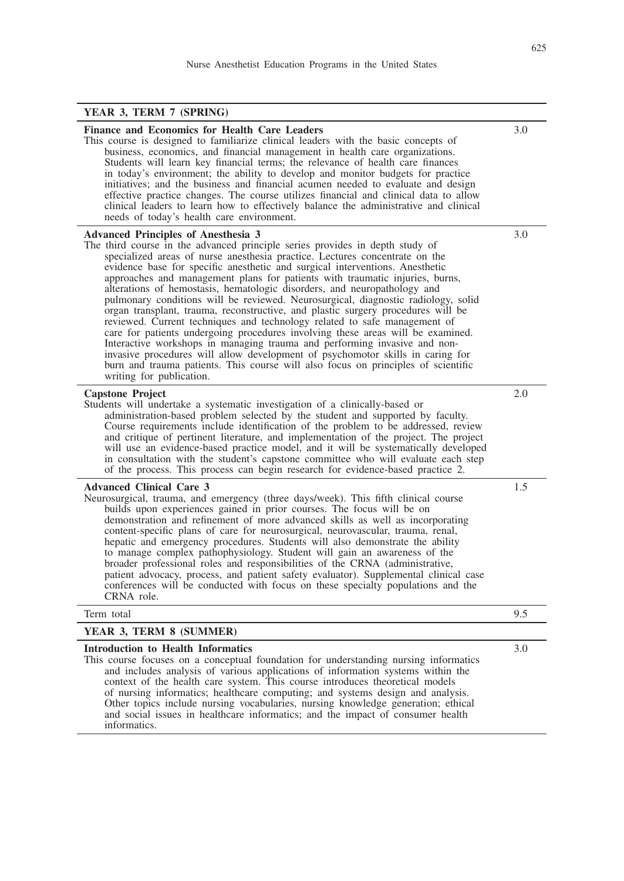# **YEAR 3, TERM 7 (SPRING)**

| Finance and Economics for Health Care Leaders<br>This course is designed to familiarize clinical leaders with the basic concepts of<br>business, economics, and financial management in health care organizations.<br>Students will learn key financial terms; the relevance of health care finances<br>in today's environment; the ability to develop and monitor budgets for practice<br>initiatives; and the business and financial acumen needed to evaluate and design<br>effective practice changes. The course utilizes financial and clinical data to allow<br>clinical leaders to learn how to effectively balance the administrative and clinical<br>needs of today's health care environment.                                                                                                                                                                                                                                                                                                                                                                       | 3.0     |
|--------------------------------------------------------------------------------------------------------------------------------------------------------------------------------------------------------------------------------------------------------------------------------------------------------------------------------------------------------------------------------------------------------------------------------------------------------------------------------------------------------------------------------------------------------------------------------------------------------------------------------------------------------------------------------------------------------------------------------------------------------------------------------------------------------------------------------------------------------------------------------------------------------------------------------------------------------------------------------------------------------------------------------------------------------------------------------|---------|
| <b>Advanced Principles of Anesthesia 3</b><br>The third course in the advanced principle series provides in depth study of<br>specialized areas of nurse anesthesia practice. Lectures concentrate on the<br>evidence base for specific anesthetic and surgical interventions. Anesthetic<br>approaches and management plans for patients with traumatic injuries, burns,<br>alterations of hemostasis, hematologic disorders, and neuropathology and<br>pulmonary conditions will be reviewed. Neurosurgical, diagnostic radiology, solid<br>organ transplant, trauma, reconstructive, and plastic surgery procedures will be<br>reviewed. Current techniques and technology related to safe management of<br>care for patients undergoing procedures involving these areas will be examined.<br>Interactive workshops in managing trauma and performing invasive and non-<br>invasive procedures will allow development of psychomotor skills in caring for<br>burn and trauma patients. This course will also focus on principles of scientific<br>writing for publication. | 3.0     |
| <b>Capstone Project</b><br>Students will undertake a systematic investigation of a clinically-based or<br>administration-based problem selected by the student and supported by faculty.<br>Course requirements include identification of the problem to be addressed, review<br>and critique of pertinent literature, and implementation of the project. The project<br>will use an evidence-based practice model, and it will be systematically developed<br>in consultation with the student's capstone committee who will evaluate each step<br>of the process. This process can begin research for evidence-based practice 2.                                                                                                                                                                                                                                                                                                                                                                                                                                             | 2.0     |
| <b>Advanced Clinical Care 3</b><br>Neurosurgical, trauma, and emergency (three days/week). This fifth clinical course<br>builds upon experiences gained in prior courses. The focus will be on<br>demonstration and refinement of more advanced skills as well as incorporating<br>content-specific plans of care for neurosurgical, neurovascular, trauma, renal,<br>hepatic and emergency procedures. Students will also demonstrate the ability<br>to manage complex pathophysiology. Student will gain an awareness of the<br>broader professional roles and responsibilities of the CRNA (administrative,<br>patient advocacy, process, and patient safety evaluator). Supplemental clinical case<br>conferences will be conducted with focus on these specialty populations and the<br>CRNA role.                                                                                                                                                                                                                                                                        | $1.5\,$ |
| Term total                                                                                                                                                                                                                                                                                                                                                                                                                                                                                                                                                                                                                                                                                                                                                                                                                                                                                                                                                                                                                                                                     | 9.5     |
| YEAR 3, TERM 8 (SUMMER)                                                                                                                                                                                                                                                                                                                                                                                                                                                                                                                                                                                                                                                                                                                                                                                                                                                                                                                                                                                                                                                        |         |
| <b>Introduction to Health Informatics</b><br>This course focuses on a conceptual foundation for understanding nursing informatics<br>and includes analysis of various applications of information systems within the<br>context of the health care system. This course introduces theoretical models<br>of nursing informatics; healthcare computing; and systems design and analysis.<br>Other topics include nursing vocabularies, nursing knowledge generation; ethical<br>and social issues in healthcare informatics; and the impact of consumer health<br>informatics.                                                                                                                                                                                                                                                                                                                                                                                                                                                                                                   | 3.0     |

L,  $\overline{\phantom{0}}$